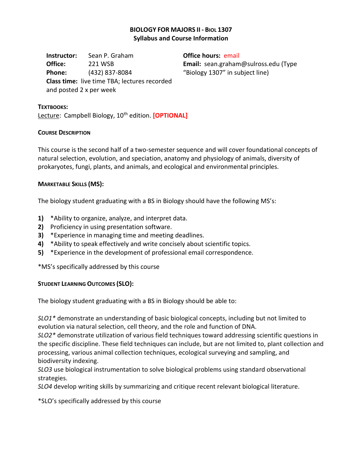# **BIOLOGY FOR MAJORS II - BIOL 1307 Syllabus and Course Information**

**Instructor:** Sean P. Graham **Office:** 221 WSB **Phone:** (432) 837-8084 **Class time:** live time TBA; lectures recorded and posted 2 x per week

**Office hours:** email **Email:** sean.graham@sulross.edu (Type "Biology 1307" in subject line)

#### **TEXTBOOKS:**

Lecture: Campbell Biology, 10<sup>th</sup> edition. **[OPTIONAL]** 

# **COURSE DESCRIPTION**

This course is the second half of a two-semester sequence and will cover foundational concepts of natural selection, evolution, and speciation, anatomy and physiology of animals, diversity of prokaryotes, fungi, plants, and animals, and ecological and environmental principles.

# **MARKETABLE SKILLS (MS):**

The biology student graduating with a BS in Biology should have the following MS's:

- **1)** \*Ability to organize, analyze, and interpret data.
- **2)** Proficiency in using presentation software.
- **3)** \*Experience in managing time and meeting deadlines.
- **4)** \*Ability to speak effectively and write concisely about scientific topics.
- **5)** \*Experience in the development of professional email correspondence.

\*MS's specifically addressed by this course

# **STUDENT LEARNING OUTCOMES (SLO):**

The biology student graduating with a BS in Biology should be able to:

*SLO1\** demonstrate an understanding of basic biological concepts, including but not limited to evolution via natural selection, cell theory, and the role and function of DNA.

*SLO2\** demonstrate utilization of various field techniques toward addressing scientific questions in the specific discipline. These field techniques can include, but are not limited to, plant collection and processing, various animal collection techniques, ecological surveying and sampling, and biodiversity indexing.

*SLO3* use biological instrumentation to solve biological problems using standard observational strategies.

*SLO4* develop writing skills by summarizing and critique recent relevant biological literature.

\*SLO's specifically addressed by this course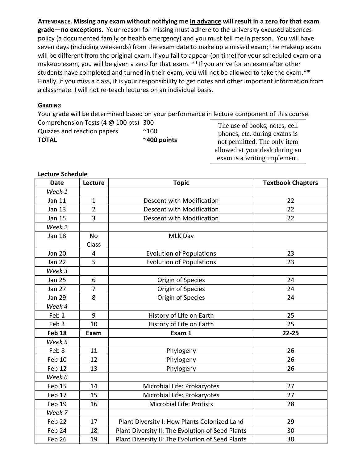**ATTENDANCE. Missing any exam without notifying me in advance will result in a zero for that exam grade—no exceptions.**Your reason for missing must adhere to the university excused absences policy (a documented family or health emergency) and you must tell me in person. You will have seven days (including weekends) from the exam date to make up a missed exam; the makeup exam will be different from the original exam. If you fail to appear (on time) for your scheduled exam or a makeup exam, you will be given a zero for that exam. \*\*If you arrive for an exam after other students have completed and turned in their exam, you will not be allowed to take the exam.\*\* Finally, if you miss a class, it is your responsibility to get notes and other important information from a classmate. I will not re-teach lectures on an individual basis.

# **GRADING**

Your grade will be determined based on your performance in lecture component of this course. Comprehension Tests (4 @ 100 pts) 300

| <b>TOTAL</b>                | $~\sim$ 400 points |  |
|-----------------------------|--------------------|--|
| Quizzes and reaction papers | $^{\sim}100$       |  |

The use of books, notes, cell phones, etc. during exams is not permitted. The only item allowed at your desk during an exam is a writing implement.

| <b>Lecture Schedule</b> |              |  |  |  |  |
|-------------------------|--------------|--|--|--|--|
|                         | ووسائم مرارا |  |  |  |  |

| <b>Date</b>   | Lecture        | <b>Topic</b>                                     | <b>Textbook Chapters</b> |
|---------------|----------------|--------------------------------------------------|--------------------------|
| Week 1        |                |                                                  |                          |
| Jan 11        | $\mathbf{1}$   | Descent with Modification                        | 22                       |
| <b>Jan 13</b> | $\overline{2}$ | Descent with Modification                        | 22                       |
| <b>Jan 15</b> | $\overline{3}$ | Descent with Modification                        | 22                       |
| Week 2        |                |                                                  |                          |
| <b>Jan 18</b> | No             | <b>MLK Day</b>                                   |                          |
|               | Class          |                                                  |                          |
| <b>Jan 20</b> | 4              | <b>Evolution of Populations</b>                  | 23                       |
| <b>Jan 22</b> | 5              | <b>Evolution of Populations</b>                  | 23                       |
| Week 3        |                |                                                  |                          |
| <b>Jan 25</b> | 6              | Origin of Species                                | 24                       |
| <b>Jan 27</b> | $\overline{7}$ | Origin of Species                                | 24                       |
| <b>Jan 29</b> | 8              | Origin of Species                                | 24                       |
| Week 4        |                |                                                  |                          |
| Feb 1         | 9              | History of Life on Earth                         | 25                       |
| Feb 3         | 10             | History of Life on Earth                         | 25                       |
| <b>Feb 18</b> | Exam           | Exam 1                                           | $22 - 25$                |
| Week 5        |                |                                                  |                          |
| Feb 8         | 11             | Phylogeny                                        | 26                       |
| <b>Feb 10</b> | 12             | Phylogeny                                        | 26                       |
| Feb 12        | 13             | Phylogeny                                        | 26                       |
| Week 6        |                |                                                  |                          |
| Feb 15        | 14             | Microbial Life: Prokaryotes                      | 27                       |
| Feb 17        | 15             | Microbial Life: Prokaryotes                      | 27                       |
| Feb 19        | 16             | <b>Microbial Life: Protists</b>                  | 28                       |
| Week 7        |                |                                                  |                          |
| Feb 22        | 17             | Plant Diversity I: How Plants Colonized Land     | 29                       |
| Feb 24        | 18             | Plant Diversity II: The Evolution of Seed Plants | 30                       |
| Feb 26        | 19             | Plant Diversity II: The Evolution of Seed Plants | 30                       |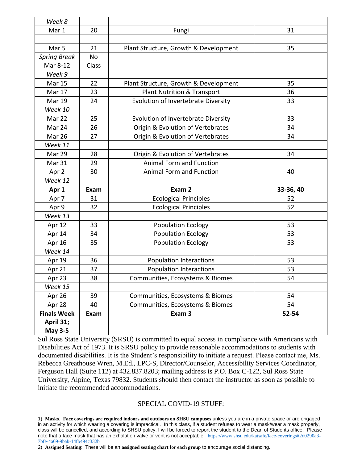| Week 8              |       |                                            |           |
|---------------------|-------|--------------------------------------------|-----------|
| Mar 1               | 20    | Fungi                                      | 31        |
|                     |       |                                            |           |
| Mar <sub>5</sub>    | 21    | Plant Structure, Growth & Development      | 35        |
| <b>Spring Break</b> | No    |                                            |           |
| Mar 8-12            | Class |                                            |           |
| Week 9              |       |                                            |           |
| <b>Mar 15</b>       | 22    | Plant Structure, Growth & Development      | 35        |
| Mar 17              | 23    | <b>Plant Nutrition &amp; Transport</b>     | 36        |
| <b>Mar 19</b>       | 24    | <b>Evolution of Invertebrate Diversity</b> | 33        |
| Week 10             |       |                                            |           |
| Mar 22              | 25    | Evolution of Invertebrate Diversity        | 33        |
| Mar 24              | 26    | Origin & Evolution of Vertebrates          | 34        |
| <b>Mar 26</b>       | 27    | Origin & Evolution of Vertebrates          | 34        |
| Week 11             |       |                                            |           |
| Mar 29              | 28    | Origin & Evolution of Vertebrates          | 34        |
| Mar 31              | 29    | Animal Form and Function                   |           |
| Apr 2               | 30    | Animal Form and Function                   | 40        |
| Week 12             |       |                                            |           |
| Apr 1               | Exam  | Exam 2                                     | 33-36, 40 |
| Apr 7               | 31    | <b>Ecological Principles</b>               | 52        |
| Apr 9               | 32    | <b>Ecological Principles</b>               | 52        |
| Week 13             |       |                                            |           |
| Apr 12              | 33    | <b>Population Ecology</b>                  | 53        |
| Apr 14              | 34    | <b>Population Ecology</b>                  | 53        |
| Apr 16              | 35    | <b>Population Ecology</b>                  | 53        |
| Week 14             |       |                                            |           |
| Apr 19              | 36    | <b>Population Interactions</b>             | 53        |
| Apr 21              | 37    | <b>Population Interactions</b>             | 53        |
| Apr 23              | 38    | Communities, Ecosystems & Biomes           | 54        |
| Week 15             |       |                                            |           |
| Apr 26              | 39    | Communities, Ecosystems & Biomes           | 54        |
| Apr 28              | 40    | Communities, Ecosystems & Biomes           | 54        |
| <b>Finals Week</b>  | Exam  | Exam 3                                     | 52-54     |
| April 31;           |       |                                            |           |
| <b>May 3-5</b>      |       |                                            |           |

Sul Ross State University (SRSU) is committed to equal access in compliance with Americans with Disabilities Act of 1973. It is SRSU policy to provide reasonable accommodations to students with documented disabilities. It is the Student's responsibility to initiate a request. Please contact me, Ms. Rebecca Greathouse Wren, M.Ed., LPC-S, Director/Counselor, Accessibility Services Coordinator, Ferguson Hall (Suite 112) at 432.837.8203; mailing address is P.O. Box C-122, Sul Ross State University, Alpine, Texas 79832. Students should then contact the instructor as soon as possible to initiate the recommended accommodations.

# SPECIAL COVID-19 STUFF:

1) **Masks**: **Face coverings are required indoors and outdoors on SHSU campuses** unless you are in a private space or are engaged in an activity for which wearing a covering is impractical. In this class, if a student refuses to wear a mask/wear a mask properly, class will be cancelled, and according to SHSU policy, I will be forced to report the student to the Dean of Students office. Please note that a face mask that has an exhalation valve or vent is not acceptable. [https://www.shsu.edu/katsafe/face-coverings#2d0290a3-](https://www.shsu.edu/katsafe/face-coverings%232d0290a3-7bfe-4a69-9bab-14fb494c332b) [7bfe-4a69-9bab-14fb494c332b](https://www.shsu.edu/katsafe/face-coverings%232d0290a3-7bfe-4a69-9bab-14fb494c332b)

2) **Assigned Seating**: There will be an **assigned seating chart for each group** to encourage social distancing.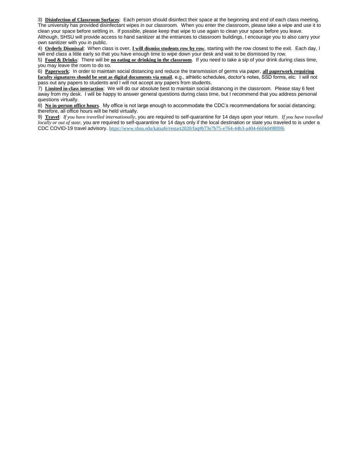3) **Disinfection of Classroom Surfaces**: Each person should disinfect their space at the beginning and end of each class meeting.

The university has provided disinfectant wipes in our classroom. When you enter the classroom, please take a wipe and use it to clean your space before settling in. If possible, please keep that wipe to use again to clean your space before you leave. Although, SHSU will provide access to hand sanitizer at the entrances to classroom buildings, I encourage you to also carry your own sanitizer with you in public.

4) **Orderly Dismissal**: When class is over, **I will dismiss students row by row**, starting with the row closest to the exit. Each day, I will end class a little early so that you have enough time to wipe down your desk and wait to be dismissed by row.

5) **Food & Drinks**: There will be **no eating or drinking in the classroom**. If you need to take a sip of your drink during class time, you may leave the room to do so.

6) **Paperwork**: In order to maintain social distancing and reduce the transmission of germs via paper, **all paperwork requiring faculty signatures should be sent as digital documents via email**, e.g., athletic schedules, doctor's notes, SSD forms, etc. I will not pass out any papers to students and I will not accept any papers from students.

7) **Limited in-class interaction**: We will do our absolute best to maintain social distancing in the classroom. Please stay 6 feet away from my desk. I will be happy to answer general questions during class time, but I recommend that you address personal questions virtually.

8) **No in-person office hours**. My office is not large enough to accommodate the CDC's recommendations for social distancing; therefore, all office hours will be held virtually.

9) **Travel**: *If you have travelled internationally*, you are required to self-quarantine for 14 days upon your return. *If you have travelled locally or out of state*, you are required to self-quarantine for 14 days only if the local destination or state you traveled to is under a CDC COVID-19 travel advisory. [https://www.shsu.edu/katsafe/restart2020/faq#b73e7b75-e764-44b3-a404-66f4d498f0f6](https://www.shsu.edu/katsafe/restart2020/faq%23b73e7b75-e764-44b3-a404-66f4d498f0f6)